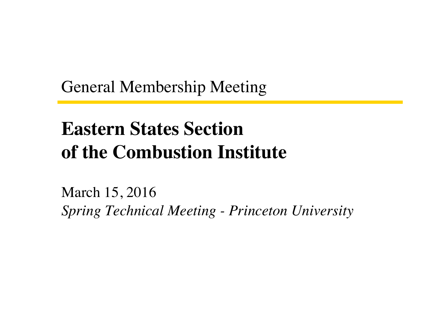General Membership Meeting

### **Eastern States Section of the Combustion Institute**

March 15, 2016 *Spring Technical Meeting - Princeton University*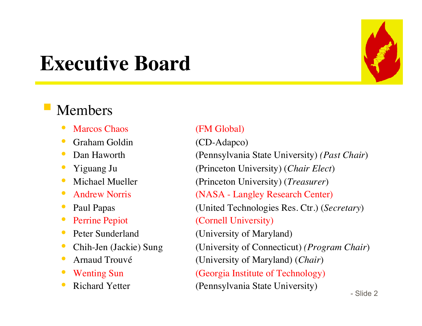### **Executive Board**

#### § Members

- Marcos Chaos (FM Global)
- Graham Goldin (CD-Adapco)
- 
- 
- 
- 
- 
- 
- 
- 
- 
- 
- 

 $\sim$  Slide 2 • Dan Haworth (Pennsylvania State University) *(Past Chair*) • Yiguang Ju (Princeton University) (*Chair Elect*) • Michael Mueller (Princeton University) (*Treasurer*) • Andrew Norris (NASA - Langley Research Center) • Paul Papas (United Technologies Res. Ctr.) (*Secretary*) Perrine Pepiot (Cornell University) Peter Sunderland (University of Maryland) • Chih-Jen (Jackie) Sung (University of Connecticut) *(Program Chair)* • Arnaud Trouvé (University of Maryland) (*Chair*) Wenting Sun (Georgia Institute of Technology) Richard Yetter (Pennsylvania State University)

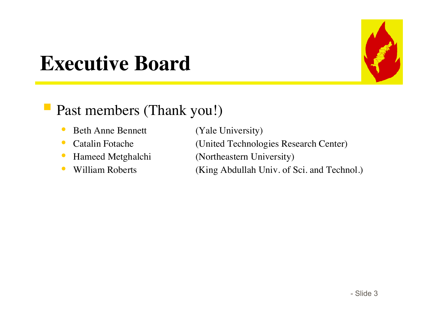

### **Executive Board**

#### ■ Past members (Thank you!)

- Beth Anne Bennett (Yale University)
- 
- 
- 

• Catalin Fotache (United Technologies Research Center) • Hameed Metghalchi (Northeastern University) • William Roberts (King Abdullah Univ. of Sci. and Technol.)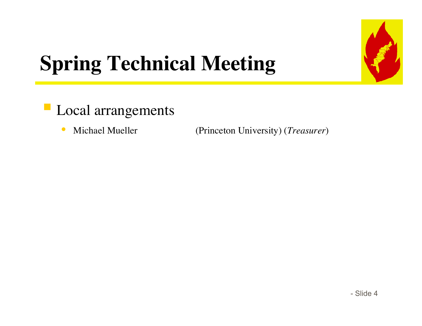

# **Spring Technical Meeting**

- § Local arrangements
	-

• Michael Mueller (Princeton University) (*Treasurer*)

 $-$  Slide 4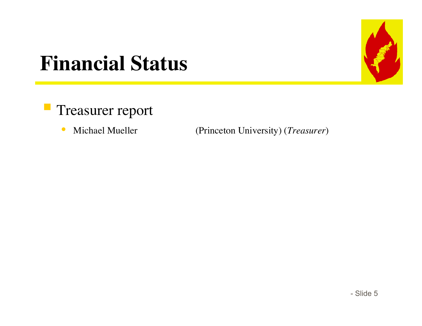

### **Financial Status**

- § Treasurer report
	-

• Michael Mueller (Princeton University) (*Treasurer*)

 $-$  Slide 5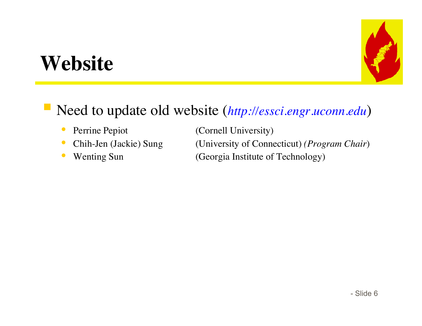### **Website**



### ■ Need to update old website (*http://essci.engr.uconn.edu*)

- 
- 
- 

• Perrine Pepiot (Cornell University) • Chih-Jen (Jackie) Sung (University of Connecticut) *(Program Chair)* • Wenting Sun (Georgia Institute of Technology)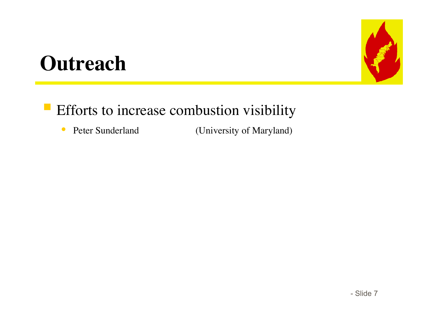### **Outreach**



### **• Efforts to increase combustion visibility**

• Peter Sunderland (University of Maryland)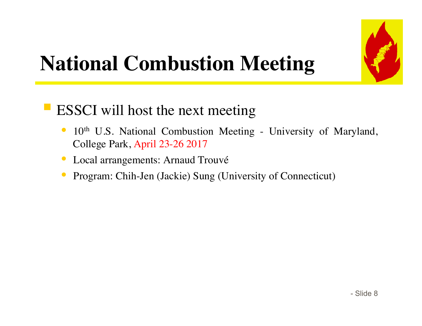

## **National Combustion Meeting**

#### ■ ESSCI will host the next meeting

- 10<sup>th</sup> U.S. National Combustion Meeting University of Maryland, College Park, April 23-26 2017
- Local arrangements: Arnaud Trouvé
- Program: Chih-Jen (Jackie) Sung (University of Connecticut)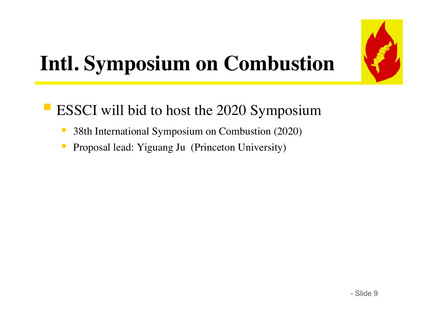

### **Intl. Symposium on Combustion**

### § ESSCI will bid to host the 2020 Symposium

- 38th International Symposium on Combustion (2020)
- Proposal lead: Yiguang Ju (Princeton University)